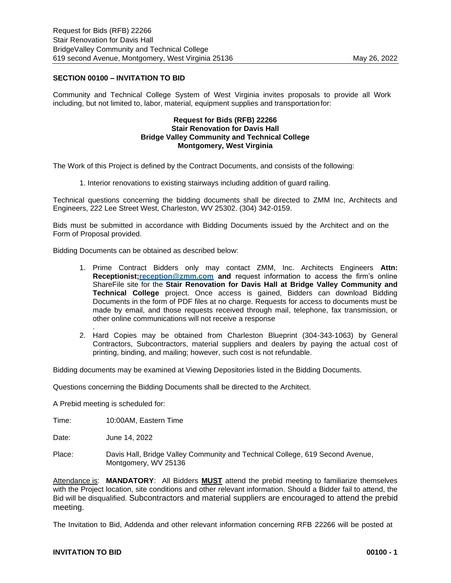## **SECTION 00100 – INVITATION TO BID**

Community and Technical College System of West Virginia invites proposals to provide all Work including, but not limited to, labor, material, equipment supplies and transportation for:

## **Request for Bids (RFB) 22266 Stair Renovation for Davis Hall Bridge Valley Community and Technical College Montgomery, West Virginia**

The Work of this Project is defined by the Contract Documents, and consists of the following:

1. Interior renovations to existing stairways including addition of guard railing.

Technical questions concerning the bidding documents shall be directed to ZMM Inc, Architects and Engineers, 222 Lee Street West, Charleston, WV 25302. (304) 342-0159.

Bids must be submitted in accordance with Bidding Documents issued by the Architect and on the Form of Proposal provided.

Bidding Documents can be obtained as described below:

- 1. Prime Contract Bidders only may contact ZMM, Inc. Architects Engineers **Attn: Receptionist[;reception@zmm.com](mailto:reception@zmm.com) and** request information to access the firm's online ShareFile site for the **Stair Renovation for Davis Hall at Bridge Valley Community and Technical College** project. Once access is gained, Bidders can download Bidding Documents in the form of PDF files at no charge. Requests for access to documents must be made by email, and those requests received through mail, telephone, fax transmission, or other online communications will not receive a response
- 2. Hard Copies may be obtained from Charleston Blueprint (304-343-1063) by General Contractors, Subcontractors, material suppliers and dealers by paying the actual cost of printing, binding, and mailing; however, such cost is not refundable.

Bidding documents may be examined at Viewing Depositories listed in the Bidding Documents.

Questions concerning the Bidding Documents shall be directed to the Architect.

A Prebid meeting is scheduled for:

.

Time: 10:00AM, Eastern Time

Date: June 14, 2022

Place: Davis Hall, Bridge Valley Community and Technical College, 619 Second Avenue, Montgomery, WV 25136

Attendance is: **MANDATORY**: All Bidders **MUST** attend the prebid meeting to familiarize themselves with the Project location, site conditions and other relevant information. Should a Bidder fail to attend, the Bid will be disqualified. Subcontractors and material suppliers are encouraged to attend the prebid meeting.

The Invitation to Bid, Addenda and other relevant information concerning RFB 22266 will be posted at